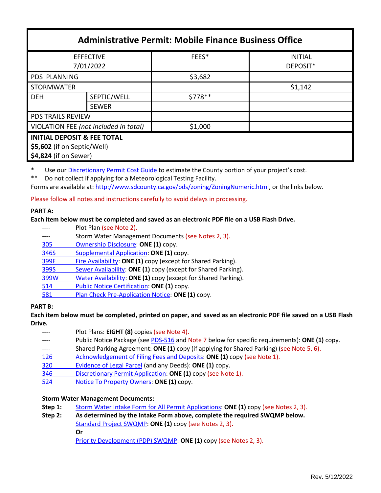| <b>Administrative Permit: Mobile Finance Business Office</b>                                   |                             |         |                            |  |
|------------------------------------------------------------------------------------------------|-----------------------------|---------|----------------------------|--|
| <b>EFFECTIVE</b><br>7/01/2022                                                                  |                             | FEES*   | <b>INITIAL</b><br>DEPOSIT* |  |
| <b>PDS PLANNING</b>                                                                            |                             | \$3,682 |                            |  |
| <b>STORMWATER</b>                                                                              |                             |         | \$1,142                    |  |
| <b>DEH</b>                                                                                     | SEPTIC/WELL<br><b>SEWER</b> | \$778** |                            |  |
| <b>PDS TRAILS REVIEW</b>                                                                       |                             |         |                            |  |
| VIOLATION FEE (not included in total)                                                          |                             | \$1,000 |                            |  |
| <b>INITIAL DEPOSIT &amp; FEE TOTAL</b><br>\$5,602 (if on Septic/Well)<br>\$4,824 (if on Sewer) |                             |         |                            |  |

\* Use our [Discretionary Permit Cost Guide](http://www.sandiegocounty.gov/content/dam/sdc/pds/docs/Discretionary_Permit_Cost_Guide.xlsx) to estimate the County portion of your project's cost.

\*\* Do not collect if applying for a Meteorological Testing Facility.

Forms are available at: [http://www.sdcounty.ca.gov/pds/zoning/ZoningNumeric.html,](http://www.sdcounty.ca.gov/pds/zoning/ZoningNumeric.html) or the links below.

Please follow all notes and instructions carefully to avoid delays in processing.

## **PART A:**

## **Each item below must be completed and saved as an electronic PDF file on a USB Flash Drive.**

- ---- Plot Plan (see Note 2).
- ---- Storm Water Management Documents (see Notes 2, 3).
- [305 Ownership Disclosure:](https://www.sandiegocounty.gov/content/dam/sdc/pds/zoning/formfields/PDS-PLN-305.pdf) **ONE (1)** copy.
- 346S [Supplemental Application:](https://www.sandiegocounty.gov/content/dam/sdc/pds/zoning/formfields/PDS-PLN-346S.pdf) **ONE (1)** copy.
- [399F Fire Availability:](https://www.sandiegocounty.gov/content/dam/sdc/pds/zoning/formfields/PDS-PLN-399F.pdf) **ONE (1)** copy (except for Shared Parking).
- 399S Sewer [Availability:](https://www.sandiegocounty.gov/content/dam/sdc/pds/zoning/formfields/PDS-PLN-399S.pdf) **ONE (1)** copy (except for Shared Parking).
- [399W Water](https://www.sandiegocounty.gov/content/dam/sdc/pds/zoning/formfields/PDS-PLN-399W.pdf) Availability: **ONE (1)** copy (except for Shared Parking).
- 514 [Public Notice Certification:](https://www.sandiegocounty.gov/content/dam/sdc/pds/zoning/formfields/PDS-PLN-514.pdf) **ONE (1)** copy.
- 581 [Plan Check Pre-Application Notice:](https://www.sandiegocounty.gov/content/dam/sdc/pds/zoning/formfields/PDS-PLN-581.pdf) **ONE (1)** copy.

## **PART B:**

**Each item below must be completed, printed on paper, and saved as an electronic PDF file saved on a USB Flash Drive.**

- Plot Plans: **EIGHT (8)** copies (see Note 4). Public Notice Package (se[e PDS-516](https://www.sandiegocounty.gov/pds/zoning/formfields/PDS-PLN-516.pdf) and Note 7 below for specific requirements): **ONE (1)** copy. Shared Parking Agreement: **ONE (1)** copy (if applying for Shared Parking) (see Note 5, 6). [126 Acknowledgement of Filing Fees and Deposits:](https://www.sandiegocounty.gov/content/dam/sdc/pds/zoning/formfields/PDS-PLN-126.pdf) **ONE (1)** copy (see Note 1).
- 320 [Evidence of Legal Parcel](https://www.sandiegocounty.gov/content/dam/sdc/pds/zoning/formfields/PDS-PLN-320.pdf) (and any Deeds): **ONE (1)** copy.
- 346 [Discretionary Permit](https://www.sandiegocounty.gov/content/dam/sdc/pds/zoning/formfields/PDS-PLN-346.pdf) Application: **ONE (1)** copy (see Note 1).
- 524 Notice To [Property Owners:](https://www.sandiegocounty.gov/content/dam/sdc/pds/zoning/formfields/PDS-PLN-524.pdf) **ONE (1)** copy.

## **Storm Water Management Documents:**

- **Step 1:** Storm Water Intake Form [for All Permit Applications:](http://www.sandiegocounty.gov/content/dam/sdc/pds/zoning/formfields/SWQMP-Intake-Form.pdf) **ONE (1)** copy (see Notes 2, 3).
- **Step 2: As determined by the Intake Form above, complete the required SWQMP below.** [Standard Project SWQMP:](http://www.sandiegocounty.gov/content/dam/sdc/pds/zoning/formfields/SWQMP-Standard.pdf) **ONE (1)** copy (see Notes 2, 3). **Or** [Priority Development](https://www.sandiegocounty.gov/content/sdc/dpw/watersheds/DevelopmentandConstruction/BMP_Design_Manual.html) (PDP) SWQMP: **ONE (1)** copy (see Notes 2, 3).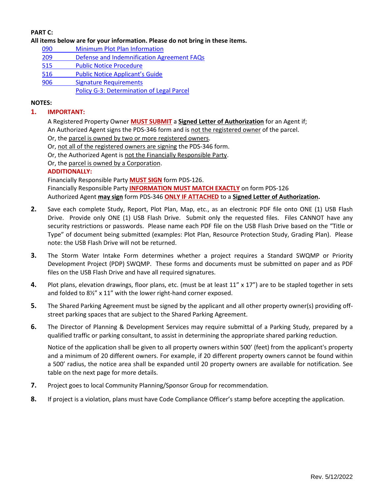# **PART C:**

**All items below are for your information. Please do not bring in these items.**

- 090 [Minimum Plot Plan](http://www.sdcounty.ca.gov/pds/docs/pds090.pdf) Information
- 209 [Defense and Indemnification Agreement FAQs](https://www.sandiegocounty.gov/content/dam/sdc/pds/zoning/formfields/PDS-PLN-209.pdf)
- [515 Public Notice Procedure](https://www.sandiegocounty.gov/content/dam/sdc/pds/zoning/formfields/PDS-PLN-515.pdf)
- [516 Public Noti](https://www.sandiegocounty.gov/content/dam/sdc/pds/zoning/formfields/PDS-PLN-516.pdf)ce Applicant's Guide
- [906 Signature Requirements](https://www.sandiegocounty.gov/content/dam/sdc/pds/zoning/formfields/PDS-PLN-906.pdf)

[Policy G-3: Determination](http://www.sdcounty.ca.gov/pds/zoning/formfields/POLICY-G-3.pdf) of Legal Parcel

### **NOTES:**

### **1. IMPORTANT:**

A Registered Property Owner **MUST SUBMIT** a **Signed Letter of Authorization** for an Agent if; An Authorized Agent signs the PDS-346 form and is not the registered owner of the parcel.

- Or, the parcel is owned by two or more registered owners.
- Or, not all of the registered owners are signing the PDS-346 form.
- Or, the Authorized Agent is not the Financially Responsible Party.
- Or, the parcel is owned by a Corporation.

### **ADDITIONALLY:**

Financially Responsible Party **MUST SIGN** form PDS-126.

Financially Responsible Party **INFORMATION MUST MATCH EXACTLY** on form PDS-126 Authorized Agent **may sign** form PDS-346 **ONLY IF ATTACHED** to a **Signed Letter of Authorization.**

- **2.** Save each complete Study, Report, Plot Plan, Map, etc., as an electronic PDF file onto ONE (1) USB Flash Drive. Provide only ONE (1) USB Flash Drive. Submit only the requested files. Files CANNOT have any security restrictions or passwords. Please name each PDF file on the USB Flash Drive based on the "Title or Type" of document being submitted (examples: Plot Plan, Resource Protection Study, Grading Plan). Please note: the USB Flash Drive will not be returned.
- **3.** The Storm Water Intake Form determines whether a project requires a Standard SWQMP or Priority Development Project (PDP) SWQMP. These forms and documents must be submitted on paper and as PDF files on the USB Flash Drive and have all required signatures.
- **4.** Plot plans, elevation drawings, floor plans, etc. (must be at least 11" x 17") are to be stapled together in sets and folded to 8½" x 11" with the lower right-hand corner exposed.
- **5.** The Shared Parking Agreement must be signed by the applicant and all other property owner(s) providing offstreet parking spaces that are subject to the Shared Parking Agreement.
- **6.** The Director of Planning & Development Services may require submittal of a Parking Study, prepared by a qualified traffic or parking consultant, to assist in determining the appropriate shared parking reduction.

Notice of the application shall be given to all property owners within 500' (feet) from the applicant's property and a minimum of 20 different owners. For example, if 20 different property owners cannot be found within a 500' radius, the notice area shall be expanded until 20 property owners are available for notification. See table on the next page for more details.

- **7.** Project goes to local Community Planning/Sponsor Group for recommendation.
- **8.** If project is a violation, plans must have Code Compliance Officer's stamp before accepting the application.